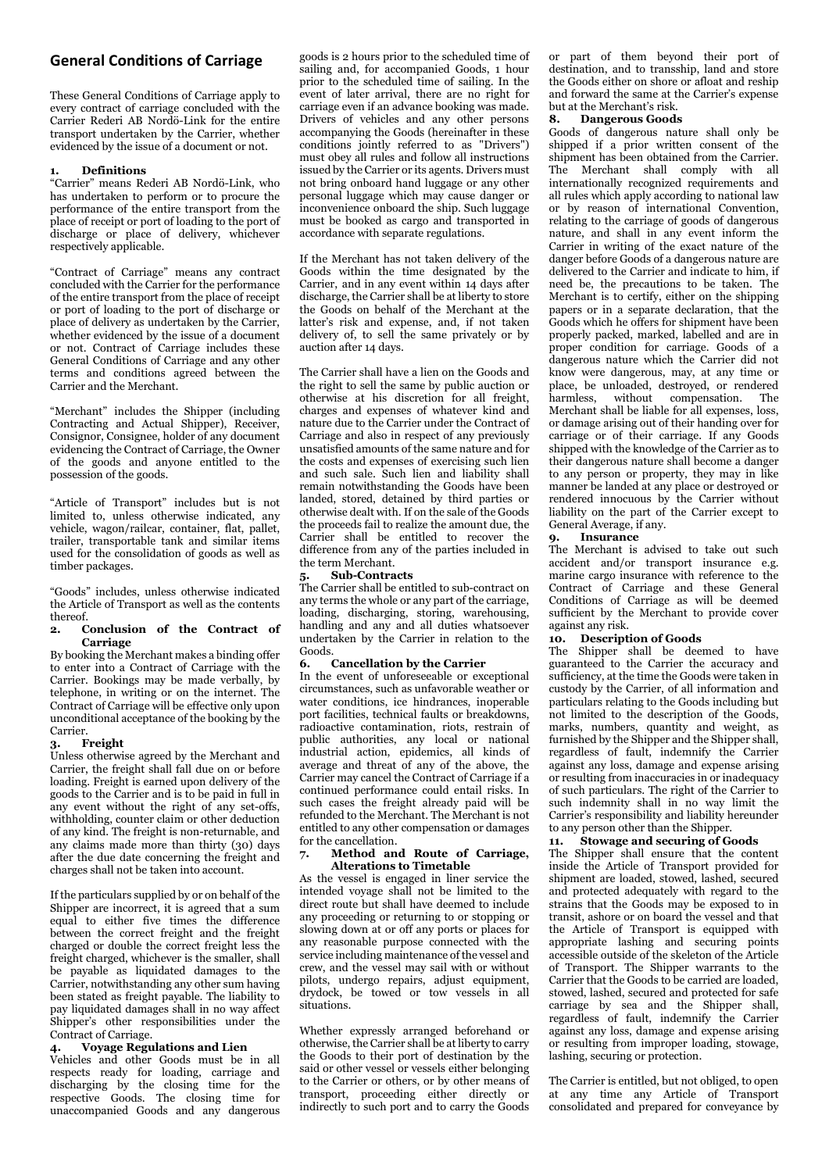# **General Conditions of Carriage**

These General Conditions of Carriage apply to every contract of carriage concluded with the Carrier Rederi AB Nordö-Link for the entire transport undertaken by the Carrier, whether evidenced by the issue of a document or not.

### **Definitions**

"Carrier" means Rederi AB Nordö-Link, who has undertaken to perform or to procure the performance of the entire transport from the place of receipt or port of loading to the port of discharge or place of delivery, whichever respectively applicable.

"Contract of Carriage" means any contract concluded with the Carrier for the performance of the entire transport from the place of receipt or port of loading to the port of discharge or place of delivery as undertaken by the Carrier, whether evidenced by the issue of a document or not. Contract of Carriage includes these General Conditions of Carriage and any other terms and conditions agreed between the Carrier and the Merchant.

"Merchant" includes the Shipper (including Contracting and Actual Shipper), Receiver, Consignor, Consignee, holder of any document evidencing the Contract of Carriage, the Owner of the goods and anyone entitled to the possession of the goods.

"Article of Transport" includes but is not limited to, unless otherwise indicated, any vehicle, wagon/railcar, container, flat, pallet, trailer, transportable tank and similar items used for the consolidation of goods as well as timber packages.

"Goods" includes, unless otherwise indicated the Article of Transport as well as the contents thereof.

### 2. Conclusion of the Contract of Carriage

By booking the Merchant makes a binding offer to enter into a Contract of Carriage with the Carrier. Bookings may be made verbally, by telephone, in writing or on the internet. The Contract of Carriage will be effective only upon unconditional acceptance of the booking by the Carrier.

### **Freight**

Unless otherwise agreed by the Merchant and Carrier, the freight shall fall due on or before loading. Freight is earned upon delivery of the goods to the Carrier and is to be paid in full in any event without the right of any set-offs, withholding, counter claim or other deduction of any kind. The freight is non-returnable, and any claims made more than thirty (30) days after the due date concerning the freight and charges shall not be taken into account.

If the particulars supplied by or on behalf of the Shipper are incorrect, it is agreed that a sum equal to either five times the difference between the correct freight and the freight charged or double the correct freight less the freight charged, whichever is the smaller, shall be payable as liquidated damages to the Carrier, notwithstanding any other sum having been stated as freight payable. The liability to pay liquidated damages shall in no way affect Shipper's other responsibilities under the Contract of Carriage.

### Voyage Regulations and Lien

Vehicles and other Goods must be in all respects ready for loading, carriage and discharging by the closing time for the respective Goods. The closing time for unaccompanied Goods and any dangerous

goods is 2 hours prior to the scheduled time of sailing and, for accompanied Goods, 1 hour prior to the scheduled time of sailing. In the event of later arrival, there are no right for carriage even if an advance booking was made. Drivers of vehicles and any other persons accompanying the Goods (hereinafter in these conditions jointly referred to as "Drivers") must obey all rules and follow all instructions issued by the Carrier or its agents. Drivers must not bring onboard hand luggage or any other personal luggage which may cause danger or inconvenience onboard the ship. Such luggage must be booked as cargo and transported in accordance with separate regulations.

If the Merchant has not taken delivery of the Goods within the time designated by the Carrier, and in any event within 14 days after discharge, the Carrier shall be at liberty to store the Goods on behalf of the Merchant at the latter's risk and expense, and, if not taken delivery of, to sell the same privately or by auction after 14 days.

The Carrier shall have a lien on the Goods and the right to sell the same by public auction or otherwise at his discretion for all freight, charges and expenses of whatever kind and nature due to the Carrier under the Contract of Carriage and also in respect of any previously unsatisfied amounts of the same nature and for the costs and expenses of exercising such lien and such sale. Such lien and liability shall remain notwithstanding the Goods have been landed, stored, detained by third parties or otherwise dealt with. If on the sale of the Goods the proceeds fail to realize the amount due, the Carrier shall be entitled to recover the difference from any of the parties included in the term Merchant.

### 5. Sub-Contracts

The Carrier shall be entitled to sub-contract on any terms the whole or any part of the carriage, loading, discharging, storing, warehousing, handling and any and all duties whatsoever undertaken by the Carrier in relation to the

#### Goods.<br>6. 6. Cancellation by the Carrier

In the event of unforeseeable or exceptional circumstances, such as unfavorable weather or water conditions, ice hindrances, inoperable port facilities, technical faults or breakdowns, radioactive contamination, riots, restrain of public authorities, any local or national industrial action, epidemics, all kinds of average and threat of any of the above, the Carrier may cancel the Contract of Carriage if a continued performance could entail risks. In such cases the freight already paid will be refunded to the Merchant. The Merchant is not entitled to any other compensation or damages for the cancellation.

### 7. Method and Route of Carriage, Alterations to Timetable

As the vessel is engaged in liner service the intended voyage shall not be limited to the direct route but shall have deemed to include any proceeding or returning to or stopping or slowing down at or off any ports or places for any reasonable purpose connected with the service including maintenance of the vessel and crew, and the vessel may sail with or without pilots, undergo repairs, adjust equipment, drydock, be towed or tow vessels in all situations.

Whether expressly arranged beforehand or otherwise, the Carrier shall be at liberty to carry the Goods to their port of destination by the said or other vessel or vessels either belonging to the Carrier or others, or by other means of transport, proceeding either directly or indirectly to such port and to carry the Goods or part of them beyond their port of destination, and to transship, land and store the Goods either on shore or afloat and reship and forward the same at the Carrier's expense but at the Merchant's risk.

### 8. Dangerous Goods

Goods of dangerous nature shall only be shipped if a prior written consent of the shipment has been obtained from the Carrier. The Merchant shall comply with all internationally recognized requirements and all rules which apply according to national law or by reason of international Convention, relating to the carriage of goods of dangerous nature, and shall in any event inform the Carrier in writing of the exact nature of the danger before Goods of a dangerous nature are delivered to the Carrier and indicate to him, if need be, the precautions to be taken. The Merchant is to certify, either on the shipping papers or in a separate declaration, that the Goods which he offers for shipment have been properly packed, marked, labelled and are in proper condition for carriage. Goods of a dangerous nature which the Carrier did not know were dangerous, may, at any time or place, be unloaded, destroyed, or rendered harmless, without compensation. The Merchant shall be liable for all expenses, loss, or damage arising out of their handing over for carriage or of their carriage. If any Goods shipped with the knowledge of the Carrier as to their dangerous nature shall become a danger to any person or property, they may in like manner be landed at any place or destroyed or rendered innocuous by the Carrier without liability on the part of the Carrier except to General Average, if any.

### 9. Insurance

The Merchant is advised to take out such accident and/or transport insurance e.g. marine cargo insurance with reference to the Contract of Carriage and these General Conditions of Carriage as will be deemed sufficient by the Merchant to provide cover against any risk.

# 10. Description of Goods

The Shipper shall be deemed to have guaranteed to the Carrier the accuracy and sufficiency, at the time the Goods were taken in custody by the Carrier, of all information and particulars relating to the Goods including but not limited to the description of the Goods, marks, numbers, quantity and weight, as furnished by the Shipper and the Shipper shall, regardless of fault, indemnify the Carrier against any loss, damage and expense arising or resulting from inaccuracies in or inadequacy of such particulars. The right of the Carrier to such indemnity shall in no way limit the Carrier's responsibility and liability hereunder to any person other than the Shipper.

# 11. Stowage and securing of Goods

The Shipper shall ensure that the content inside the Article of Transport provided for shipment are loaded, stowed, lashed, secured and protected adequately with regard to the strains that the Goods may be exposed to in transit, ashore or on board the vessel and that the Article of Transport is equipped with appropriate lashing and securing points accessible outside of the skeleton of the Article of Transport. The Shipper warrants to the Carrier that the Goods to be carried are loaded, stowed, lashed, secured and protected for safe carriage by sea and the Shipper shall, regardless of fault, indemnify the Carrier against any loss, damage and expense arising or resulting from improper loading, stowage, lashing, securing or protection.

The Carrier is entitled, but not obliged, to open at any time any Article of Transport consolidated and prepared for conveyance by